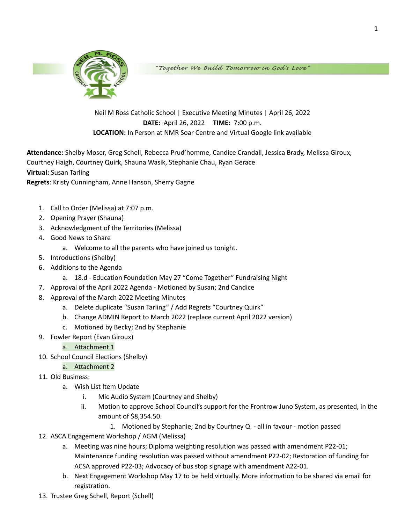

"Together We Build Tomorrow in God's Love"

Neil M Ross Catholic School | Executive Meeting Minutes | April 26, 2022 **DATE:** April 26, 2022 **TIME:** 7:00 p.m. **LOCATION:** In Person at NMR Soar Centre and Virtual Google link available

**Attendance:** Shelby Moser, Greg Schell, Rebecca Prud'homme, Candice Crandall, Jessica Brady, Melissa Giroux, Courtney Haigh, Courtney Quirk, Shauna Wasik, Stephanie Chau, Ryan Gerace **Virtual:** Susan Tarling

**Regrets**: Kristy Cunningham, Anne Hanson, Sherry Gagne

- 1. Call to Order (Melissa) at 7:07 p.m.
- 2. Opening Prayer (Shauna)
- 3. Acknowledgment of the Territories (Melissa)
- 4. Good News to Share
	- a. Welcome to all the parents who have joined us tonight.
- 5. Introductions (Shelby)
- 6. Additions to the Agenda
	- a. 18.d Education Foundation May 27 "Come Together" Fundraising Night
- 7. Approval of the April 2022 Agenda Motioned by Susan; 2nd Candice
- 8. Approval of the March 2022 Meeting Minutes
	- a. Delete duplicate "Susan Tarling" / Add Regrets "Courtney Quirk"
	- b. Change ADMIN Report to March 2022 (replace current April 2022 version)
	- c. Motioned by Becky; 2nd by Stephanie
- 9. Fowler Report (Evan Giroux)
	- a. Attachment 1
- 10. School Council Elections (Shelby)
	- a. Attachment 2
- 11. Old Business:
	- a. Wish List Item Update
		- i. Mic Audio System (Courtney and Shelby)
		- ii. Motion to approve School Council's support for the Frontrow Juno System, as presented, in the amount of \$8,354.50.
			- 1. Motioned by Stephanie; 2nd by Courtney Q. all in favour motion passed
- 12. ASCA Engagement Workshop / AGM (Melissa)
	- a. Meeting was nine hours; Diploma weighting resolution was passed with amendment P22-01; Maintenance funding resolution was passed without amendment P22-02; Restoration of funding for ACSA approved P22-03; Advocacy of bus stop signage with amendment A22-01.
	- b. Next Engagement Workshop May 17 to be held virtually. More information to be shared via email for registration.
- 13. Trustee Greg Schell, Report (Schell)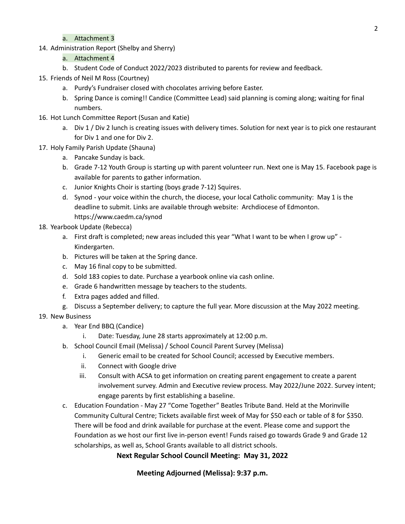# a. Attachment 3

14. Administration Report (Shelby and Sherry)

# a. Attachment 4

- b. Student Code of Conduct 2022/2023 distributed to parents for review and feedback.
- 15. Friends of Neil M Ross (Courtney)
	- a. Purdy's Fundraiser closed with chocolates arriving before Easter.
	- b. Spring Dance is coming!! Candice (Committee Lead) said planning is coming along; waiting for final numbers.
- 16. Hot Lunch Committee Report (Susan and Katie)
	- a. Div 1 / Div 2 lunch is creating issues with delivery times. Solution for next year is to pick one restaurant for Div 1 and one for Div 2.
- 17. Holy Family Parish Update (Shauna)
	- a. Pancake Sunday is back.
	- b. Grade 7-12 Youth Group is starting up with parent volunteer run. Next one is May 15. Facebook page is available for parents to gather information.
	- c. Junior Knights Choir is starting (boys grade 7-12) Squires.
	- d. Synod your voice within the church, the diocese, your local Catholic community: May 1 is the deadline to submit. Links are available through website: Archdiocese of Edmonton. https://www.caedm.ca/synod
- 18. Yearbook Update (Rebecca)
	- a. First draft is completed; new areas included this year "What I want to be when I grow up" -Kindergarten.
	- b. Pictures will be taken at the Spring dance.
	- c. May 16 final copy to be submitted.
	- d. Sold 183 copies to date. Purchase a yearbook online via cash online.
	- e. Grade 6 handwritten message by teachers to the students.
	- f. Extra pages added and filled.
	- g. Discuss a September delivery; to capture the full year. More discussion at the May 2022 meeting.

## 19. New Business

- a. Year End BBQ (Candice)
	- i. Date: Tuesday, June 28 starts approximately at 12:00 p.m.
- b. School Council Email (Melissa) / School Council Parent Survey (Melissa)
	- i. Generic email to be created for School Council; accessed by Executive members.
	- ii. Connect with Google drive
	- iii. Consult with ACSA to get information on creating parent engagement to create a parent involvement survey. Admin and Executive review process. May 2022/June 2022. Survey intent; engage parents by first establishing a baseline.
- c. Education Foundation May 27 "Come Together" Beatles Tribute Band. Held at the Morinville Community Cultural Centre; Tickets available first week of May for \$50 each or table of 8 for \$350. There will be food and drink available for purchase at the event. Please come and support the Foundation as we host our first live in-person event! Funds raised go towards Grade 9 and Grade 12 scholarships, as well as, School Grants available to all district schools.

# **Next Regular School Council Meeting: May 31, 2022**

# **Meeting Adjourned (Melissa): 9:37 p.m.**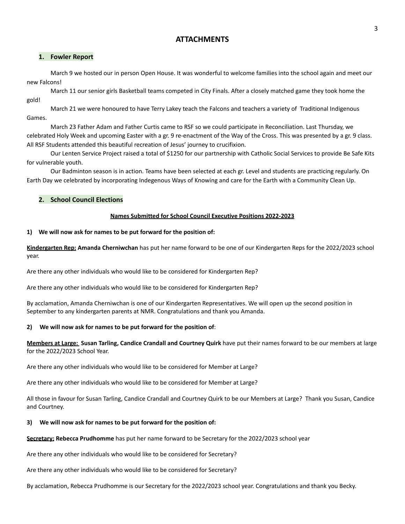# **ATTACHMENTS**

### **1. Fowler Report**

March 9 we hosted our in person Open House. It was wonderful to welcome families into the school again and meet our new Falcons!

March 11 our senior girls Basketball teams competed in City Finals. After a closely matched game they took home the gold!

March 21 we were honoured to have Terry Lakey teach the Falcons and teachers a variety of Traditional Indigenous Games.

March 23 Father Adam and Father Curtis came to RSF so we could participate in Reconciliation. Last Thursday, we celebrated Holy Week and upcoming Easter with a gr. 9 re-enactment of the Way of the Cross. This was presented by a gr. 9 class. All RSF Students attended this beautiful recreation of Jesus' journey to crucifixion.

Our Lenten Service Project raised a total of \$1250 for our partnership with Catholic Social Services to provide Be Safe Kits for vulnerable youth.

Our Badminton season is in action. Teams have been selected at each gr. Level and students are practicing regularly. On Earth Day we celebrated by incorporating Indegenous Ways of Knowing and care for the Earth with a Community Clean Up.

### **2. School Council Elections**

### **Names Submitted for School Council Executive Positions 2022-2023**

### **1) We will now ask for names to be put forward for the position of:**

**Kindergarten Rep: Amanda Cherniwchan** has put her name forward to be one of our Kindergarten Reps for the 2022/2023 school year.

Are there any other individuals who would like to be considered for Kindergarten Rep?

Are there any other individuals who would like to be considered for Kindergarten Rep?

By acclamation, Amanda Cherniwchan is one of our Kindergarten Representatives. We will open up the second position in September to any kindergarten parents at NMR. Congratulations and thank you Amanda.

### **2) We will now ask for names to be put forward for the position of**:

**Members at Large: Susan Tarling, Candice Crandall and Courtney Quirk** have put their names forward to be our members at large for the 2022/2023 School Year.

Are there any other individuals who would like to be considered for Member at Large?

Are there any other individuals who would like to be considered for Member at Large?

All those in favour for Susan Tarling, Candice Crandall and Courtney Quirk to be our Members at Large? Thank you Susan, Candice and Courtney.

### **3) We will now ask for names to be put forward for the position of:**

**Secretary: Rebecca Prudhomme** has put her name forward to be Secretary for the 2022/2023 school year

Are there any other individuals who would like to be considered for Secretary?

Are there any other individuals who would like to be considered for Secretary?

By acclamation, Rebecca Prudhomme is our Secretary for the 2022/2023 school year. Congratulations and thank you Becky.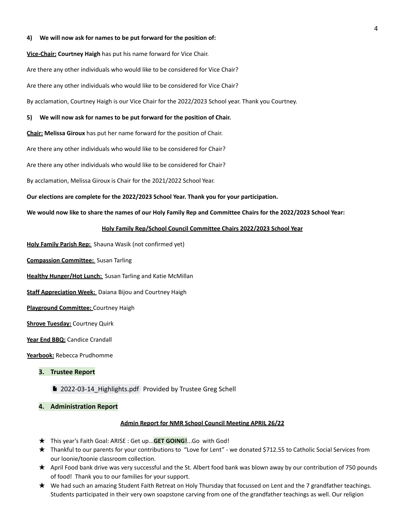#### **4) We will now ask for names to be put forward for the position of:**

**Vice-Chair: Courtney Haigh** has put his name forward for Vice Chair.

Are there any other individuals who would like to be considered for Vice Chair?

Are there any other individuals who would like to be considered for Vice Chair?

By acclamation, Courtney Haigh is our Vice Chair for the 2022/2023 School year. Thank you Courtney.

#### **5) We will now ask for names to be put forward for the position of Chair.**

**Chair: Melissa Giroux** has put her name forward for the position of Chair.

Are there any other individuals who would like to be considered for Chair?

Are there any other individuals who would like to be considered for Chair?

By acclamation, Melissa Giroux is Chair for the 2021/2022 School Year.

**Our elections are complete for the 2022/2023 School Year. Thank you for your participation.**

We would now like to share the names of our Holy Family Rep and Committee Chairs for the 2022/2023 School Year:

### **Holy Family Rep/School Council Committee Chairs 2022/2023 School Year**

**Holy Family Parish Rep:** Shauna Wasik (not confirmed yet)

**Compassion Committee:** Susan Tarling

**Healthy Hunger/Hot Lunch:** Susan Tarling and Katie McMillan

**Staff Appreciation Week:** Daiana Bijou and Courtney Haigh

**Playground Committee:** Courtney Haigh

**Shrove Tuesday:** Courtney Quirk

**Year End BBQ:** Candice Crandall

**Yearbook:** Rebecca Prudhomme

- **3. Trustee Report**
	- [2022-03-14\\_Highlights.pdf](https://drive.google.com/file/d/1OgUi7fjxvb4QcDo4FmVfSe8aBPBZRKoW/view?usp=sharing) Provided by Trustee Greg Schell

#### **4. Administration Report**

#### **Admin Report for NMR School Council Meeting APRIL 26/22**

- ★ This year's Faith Goal: ARISE : Get up...**GET GOING!**...Go with God!
- ★ Thankful to our parents for your contributions to "Love for Lent" we donated \$712.55 to Catholic Social Services from our loonie/toonie classroom collection.
- ★ April Food bank drive was very successful and the St. Albert food bank was blown away by our contribution of 750 pounds of food! Thank you to our families for your support.
- ★ We had such an amazing Student Faith Retreat on Holy Thursday that focussed on Lent and the 7 grandfather teachings. Students participated in their very own soapstone carving from one of the grandfather teachings as well. Our religion